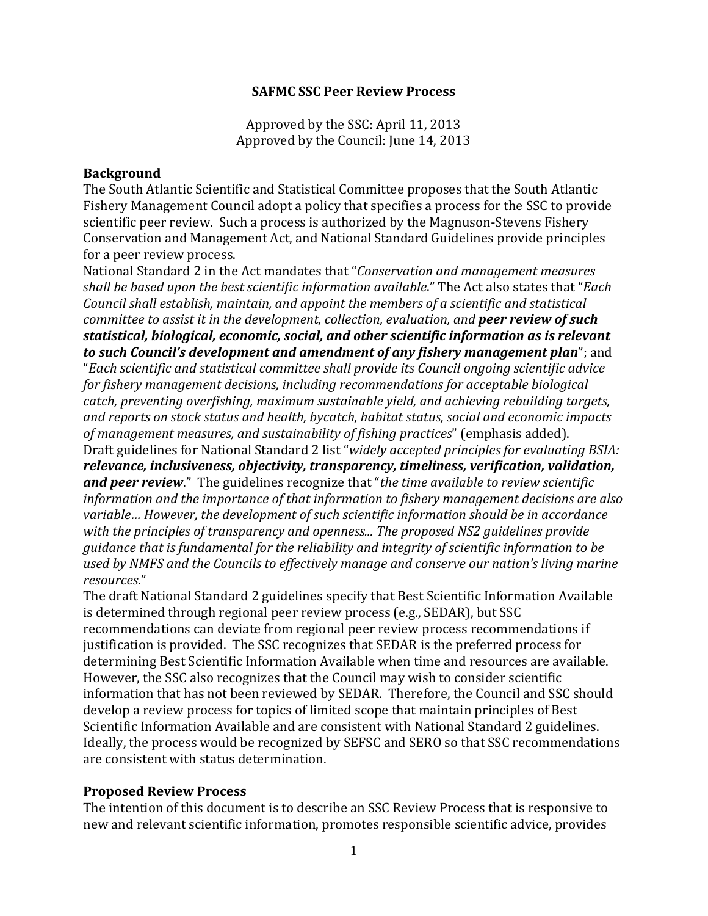## **SAFMC SSC Peer Review Process**

Approved by the SSC: April 11, 2013 Approved by the Council: June 14, 2013

## **Background**

The South Atlantic Scientific and Statistical Committee proposes that the South Atlantic Fishery Management Council adopt a policy that specifies a process for the SSC to provide scientific peer review. Such a process is authorized by the Magnuson-Stevens Fishery Conservation and Management Act, and National Standard Guidelines provide principles for a peer review process.

National Standard 2 in the Act mandates that "*Conservation and management measures shall be based upon the best scientific information available*." The Act also states that "*Each Council shall establish, maintain, and appoint the members of a scientific and statistical committee to assist it in the development, collection, evaluation, and peer review of such statistical, biological, economic, social, and other scientific information as is relevant to such Council's development and amendment of any fishery management plan*"; and "*Each scientific and statistical committee shall provide its Council ongoing scientific advice for fishery management decisions, including recommendations for acceptable biological catch, preventing overfishing, maximum sustainable yield, and achieving rebuilding targets, and reports on stock status and health, bycatch, habitat status, social and economic impacts of management measures, and sustainability of fishing practices*" (emphasis added). Draft guidelines for National Standard 2 list "*widely accepted principles for evaluating BSIA: relevance, inclusiveness, objectivity, transparency, timeliness, verification, validation, and peer review*." The guidelines recognize that "*the time available to review scientific information and the importance of that information to fishery management decisions are also variable… However, the development of such scientific information should be in accordance with the principles of transparency and openness... The proposed NS2 guidelines provide guidance that is fundamental for the reliability and integrity of scientific information to be used by NMFS and the Councils to effectively manage and conserve our nation's living marine resources*."

The draft National Standard 2 guidelines specify that Best Scientific Information Available is determined through regional peer review process (e.g., SEDAR), but SSC recommendations can deviate from regional peer review process recommendations if justification is provided. The SSC recognizes that SEDAR is the preferred process for determining Best Scientific Information Available when time and resources are available. However, the SSC also recognizes that the Council may wish to consider scientific information that has not been reviewed by SEDAR. Therefore, the Council and SSC should develop a review process for topics of limited scope that maintain principles of Best Scientific Information Available and are consistent with National Standard 2 guidelines. Ideally, the process would be recognized by SEFSC and SERO so that SSC recommendations are consistent with status determination.

## **Proposed Review Process**

The intention of this document is to describe an SSC Review Process that is responsive to new and relevant scientific information, promotes responsible scientific advice, provides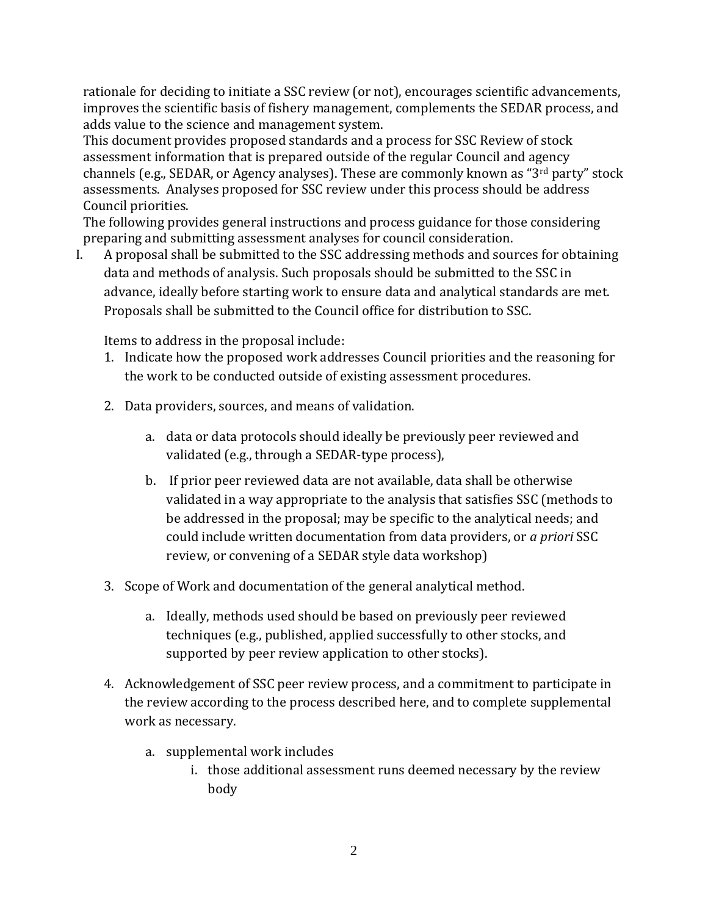rationale for deciding to initiate a SSC review (or not), encourages scientific advancements, improves the scientific basis of fishery management, complements the SEDAR process, and adds value to the science and management system.

This document provides proposed standards and a process for SSC Review of stock assessment information that is prepared outside of the regular Council and agency channels (e.g., SEDAR, or Agency analyses). These are commonly known as "3rd party" stock assessments. Analyses proposed for SSC review under this process should be address Council priorities.

The following provides general instructions and process guidance for those considering preparing and submitting assessment analyses for council consideration.<br>I. A proposal shall be submitted to the SSC addressing methods and sour

A proposal shall be submitted to the SSC addressing methods and sources for obtaining data and methods of analysis. Such proposals should be submitted to the SSC in advance, ideally before starting work to ensure data and analytical standards are met. Proposals shall be submitted to the Council office for distribution to SSC.

Items to address in the proposal include:

- 1. Indicate how the proposed work addresses Council priorities and the reasoning for the work to be conducted outside of existing assessment procedures.
- 2. Data providers, sources, and means of validation.
	- a. data or data protocols should ideally be previously peer reviewed and validated (e.g., through a SEDAR-type process),
	- b. If prior peer reviewed data are not available, data shall be otherwise validated in a way appropriate to the analysis that satisfies SSC (methods to be addressed in the proposal; may be specific to the analytical needs; and could include written documentation from data providers, or *a priori* SSC review, or convening of a SEDAR style data workshop)
- 3. Scope of Work and documentation of the general analytical method.
	- a. Ideally, methods used should be based on previously peer reviewed techniques (e.g., published, applied successfully to other stocks, and supported by peer review application to other stocks).
- 4. Acknowledgement of SSC peer review process, and a commitment to participate in the review according to the process described here, and to complete supplemental work as necessary.
	- a. supplemental work includes
		- i. those additional assessment runs deemed necessary by the review body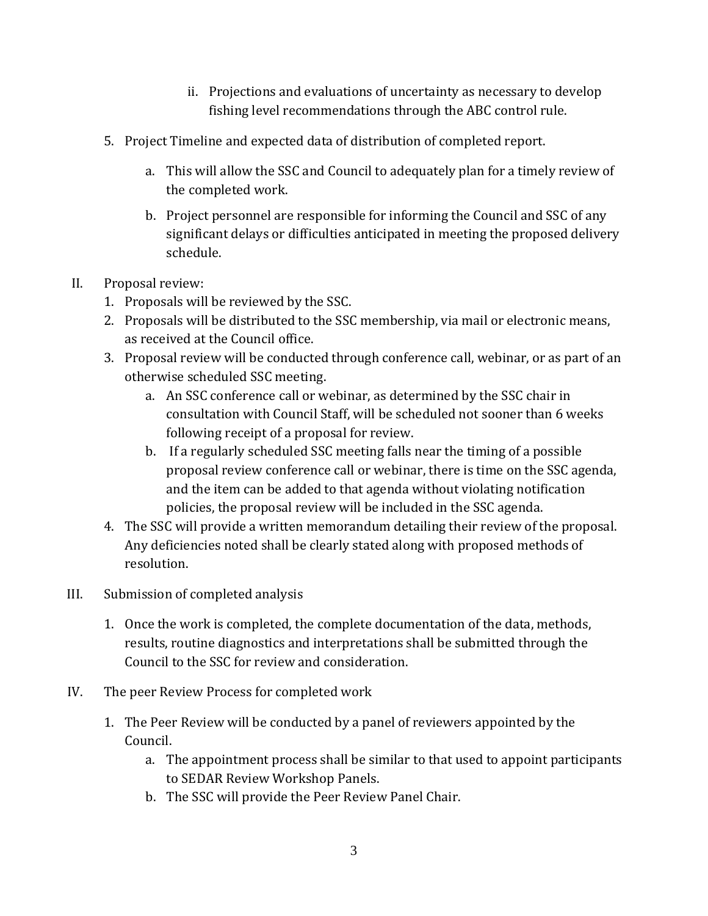- ii. Projections and evaluations of uncertainty as necessary to develop fishing level recommendations through the ABC control rule.
- 5. Project Timeline and expected data of distribution of completed report.
	- a. This will allow the SSC and Council to adequately plan for a timely review of the completed work.
	- b. Project personnel are responsible for informing the Council and SSC of any significant delays or difficulties anticipated in meeting the proposed delivery schedule.
- II. Proposal review:
	- 1. Proposals will be reviewed by the SSC.
	- 2. Proposals will be distributed to the SSC membership, via mail or electronic means, as received at the Council office.
	- 3. Proposal review will be conducted through conference call, webinar, or as part of an otherwise scheduled SSC meeting.
		- a. An SSC conference call or webinar, as determined by the SSC chair in consultation with Council Staff, will be scheduled not sooner than 6 weeks following receipt of a proposal for review.
		- b. If a regularly scheduled SSC meeting falls near the timing of a possible proposal review conference call or webinar, there is time on the SSC agenda, and the item can be added to that agenda without violating notification policies, the proposal review will be included in the SSC agenda.
	- 4. The SSC will provide a written memorandum detailing their review of the proposal. Any deficiencies noted shall be clearly stated along with proposed methods of resolution.
- III. Submission of completed analysis
	- 1. Once the work is completed, the complete documentation of the data, methods, results, routine diagnostics and interpretations shall be submitted through the Council to the SSC for review and consideration.
- IV. The peer Review Process for completed work
	- 1. The Peer Review will be conducted by a panel of reviewers appointed by the Council.
		- a. The appointment process shall be similar to that used to appoint participants to SEDAR Review Workshop Panels.
		- b. The SSC will provide the Peer Review Panel Chair.